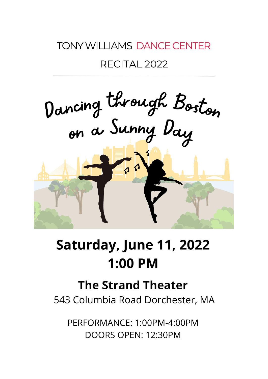## **TONY WILLIAMS DANCE CENTER**

### RECITAL 2022



# Saturday, June 11, 2022 **1:00 PM**

# **The Strand Theater**

543 Columbia Road Dorchester, MA

PERFORMANCE: 1:00PM-4:00PM DOORS OPEN: 12:30PM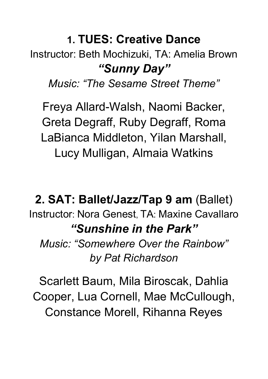## **1. TUES: Creative Dance**

Instructor: Beth Mochizuki, TA: Amelia Brown *"Sunny Day"*

*Music: "The Sesame Street Theme"*

Freya Allard-Walsh, Naomi Backer, Greta Degraff, Ruby Degraff, Roma LaBianca Middleton, Yilan Marshall, Lucy Mulligan, Almaia Watkins

**2. SAT: Ballet/Jazz/Tap 9 am** (Ballet) Instructor: Nora Genest, TA: Maxine Cavallaro *"Sunshine in the Park" Music: "Somewhere Over the Rainbow" by Pat Richardson*

Scarlett Baum, Mila Biroscak, Dahlia Cooper, Lua Cornell, Mae McCullough, Constance Morell, Rihanna Reyes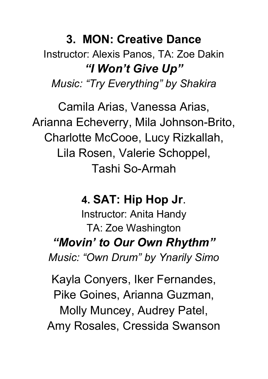# **3. MON: Creative Dance** Instructor: Alexis Panos, TA: Zoe Dakin *"I Won't Give Up" Music: "Try Everything" by Shakira*

Camila Arias, Vanessa Arias, Arianna Echeverry, Mila Johnson-Brito, Charlotte McCooe, Lucy Rizkallah, Lila Rosen, Valerie Schoppel, Tashi So-Armah

### **4. SAT: Hip Hop Jr**.

Instructor: Anita Handy TA: Zoe Washington *"Movin' to Our Own Rhythm" Music: "Own Drum" by Ynarily Simo*

Kayla Conyers, Iker Fernandes, Pike Goines, Arianna Guzman, Molly Muncey, Audrey Patel, Amy Rosales, Cressida Swanson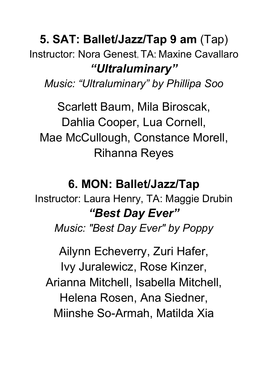# **5. SAT: Ballet/Jazz/Tap 9 am** (Tap) Instructor: Nora Genest, TA: Maxine Cavallaro *"Ultraluminary"*

*Music: "Ultraluminary" by Phillipa Soo*

Scarlett Baum, Mila Biroscak, Dahlia Cooper, Lua Cornell, Mae McCullough, Constance Morell, Rihanna Reyes

## **6. MON: Ballet/Jazz/Tap**

Instructor: Laura Henry, TA: Maggie Drubin *"Best Day Ever"*

*Music: "Best Day Ever" by Poppy*

Ailynn Echeverry, Zuri Hafer, Ivy Juralewicz, Rose Kinzer, Arianna Mitchell, Isabella Mitchell, Helena Rosen, Ana Siedner, Miinshe So-Armah, Matilda Xia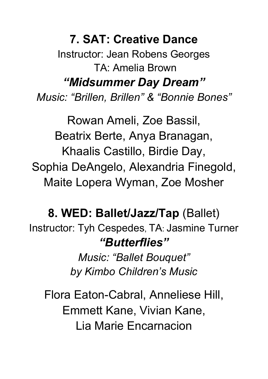**7. SAT: Creative Dance** Instructor: Jean Robens Georges TA: Amelia Brown

*"Midsummer Day Dream"*

*Music: "Brillen, Brillen" & "Bonnie Bones"*

Rowan Ameli, Zoe Bassil, Beatrix Berte, Anya Branagan, Khaalis Castillo, Birdie Day, Sophia DeAngelo, Alexandria Finegold, Maite Lopera Wyman, Zoe Mosher

## **8. WED: Ballet/Jazz/Tap** (Ballet)

Instructor: Tyh Cespedes, TA: Jasmine Turner *"Butterflies"*

> *Music: "Ballet Bouquet" by Kimbo Children's Music*

Flora Eaton-Cabral, Anneliese Hill, Emmett Kane, Vivian Kane, Lia Marie Encarnacion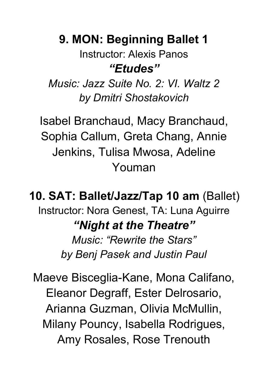## **9. MON: Beginning Ballet 1**

Instructor: Alexis Panos *"Etudes"*

*Music: Jazz Suite No. 2: VI. Waltz 2 by Dmitri Shostakovich*

Isabel Branchaud, Macy Branchaud, Sophia Callum, Greta Chang, Annie Jenkins, Tulisa Mwosa, Adeline Youman

**10. SAT: Ballet/Jazz/Tap 10 am** (Ballet) Instructor: Nora Genest, TA: Luna Aguirre *"Night at the Theatre" Music: "Rewrite the Stars"*

*by Benj Pasek and Justin Paul*

Maeve Bisceglia-Kane, Mona Califano, Eleanor Degraff, Ester Delrosario, Arianna Guzman, Olivia McMullin, Milany Pouncy, Isabella Rodrigues, Amy Rosales, Rose Trenouth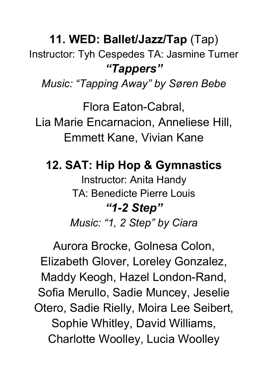# **11. WED: Ballet/Jazz/Tap** (Tap)

Instructor: Tyh Cespedes TA: Jasmine Turner *"Tappers"*

*Music: "Tapping Away" by Søren Bebe*

Flora Eaton-Cabral, Lia Marie Encarnacion, Anneliese Hill, Emmett Kane, Vivian Kane

**12. SAT: Hip Hop & Gymnastics** Instructor: Anita Handy TA: Benedicte Pierre Louis *"1-2 Step"*

*Music: "1, 2 Step" by Ciara*

Aurora Brocke, Golnesa Colon, Elizabeth Glover, Loreley Gonzalez, Maddy Keogh, Hazel London-Rand, Sofia Merullo, Sadie Muncey, Jeselie Otero, Sadie Rielly, Moira Lee Seibert, Sophie Whitley, David Williams, Charlotte Woolley, Lucia Woolley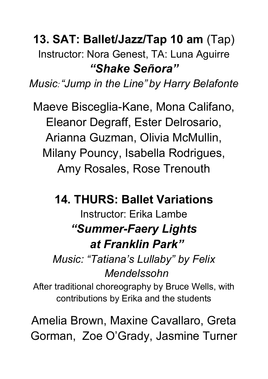## **13. SAT: Ballet/Jazz/Tap 10 am** (Tap) Instructor: Nora Genest, TA: Luna Aguirre *"Shake Señora"*

*Music: "Jump in the Line" by Harry Belafonte*

Maeve Bisceglia-Kane, Mona Califano, Eleanor Degraff, Ester Delrosario, Arianna Guzman, Olivia McMullin, Milany Pouncy, Isabella Rodrigues, Amy Rosales, Rose Trenouth

**14. THURS: Ballet Variations**

## Instructor: Erika Lambe *"Summer-Faery Lights at Franklin Park"*

*Music: "Tatiana's Lullaby" by Felix Mendelssohn*

After traditional choreography by Bruce Wells, with contributions by Erika and the students

Amelia Brown, Maxine Cavallaro, Greta Gorman, Zoe O'Grady, Jasmine Turner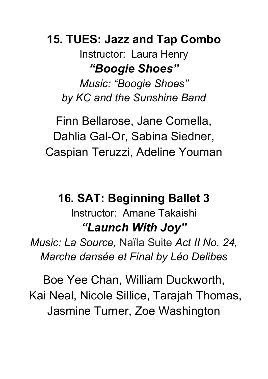## **15. TUES: Jazz and Tap Combo**

Instructor: Laura Henry *"Boogie Shoes"*

*Music: "Boogie Shoes" by KC and the Sunshine Band*

Finn Bellarose, Jane Comella, Dahlia Gal-Or, Sabina Siedner, Caspian Teruzzi, Adeline Youman

## **16. SAT: Beginning Ballet 3** Instructor: Amane Takaishi *"Launch With Joy"*

*Music: La Source,* Naïla Suite *Act II No. 24, Marche dansee et Final by Leo [Delibes](https://en.wikipedia.org/wiki/L%C3%A9o_Delibes)*

Boe Yee Chan, William Duckworth, Kai Neal, Nicole Sillice, Tarajah Thomas, Jasmine Turner, Zoe Washington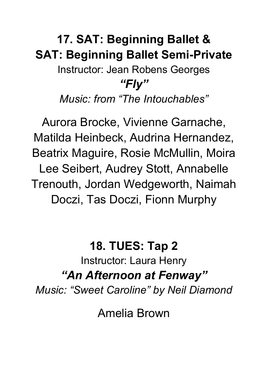# **17. SAT: Beginning Ballet & SAT: Beginning Ballet Semi-Private** Instructor: Jean Robens Georges

#### *"Fly"*

*Music: from "The Intouchables"*

Aurora Brocke, Vivienne Garnache, Matilda Heinbeck, Audrina Hernandez, Beatrix Maguire, Rosie McMullin, Moira Lee Seibert, Audrey Stott, Annabelle Trenouth, Jordan Wedgeworth, Naimah Doczi, Tas Doczi, Fionn Murphy

### **18. TUES: Tap 2**

Instructor: Laura Henry *"An Afternoon at Fenway"*

*Music: "Sweet Caroline" by Neil Diamond*

Amelia Brown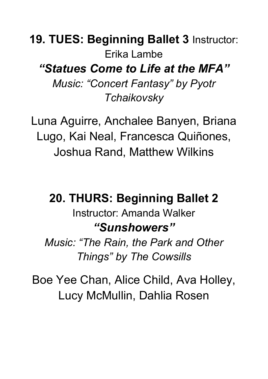**19. TUES: Beginning Ballet 3** Instructor: Erika Lambe *"Statues Come to Life at the MFA" Music: "Concert Fantasy" by Pyotr Tchaikovsky*

Luna Aguirre, Anchalee Banyen, Briana Lugo, Kai Neal, Francesca Quiñones, Joshua Rand, Matthew Wilkins

**20. THURS: Beginning Ballet 2** Instructor: Amanda Walker *"Sunshowers"*

*Music: "The Rain, the Park and Other Things" by The Cowsills*

Boe Yee Chan, Alice Child, Ava Holley, Lucy McMullin, Dahlia Rosen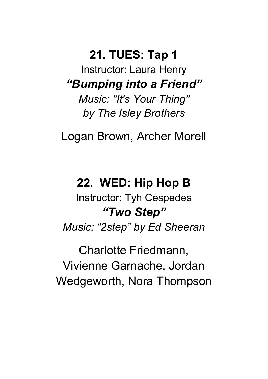## **21. TUES: Tap 1**

Instructor: Laura Henry *"Bumping into a Friend"*

*Music: "It's Your Thing" by The Isley Brothers*

Logan Brown, Archer Morell

#### **22. WED: Hip Hop B**

Instructor: Tyh Cespedes *"Two Step"*

*Music: "2step" by Ed Sheeran*

Charlotte Friedmann, Vivienne Garnache, Jordan Wedgeworth, Nora Thompson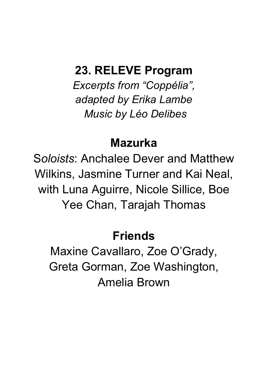#### **23. RELEVE Program**

*Excerpts from "Coppelia" , adapted by Erika Lambe Music by Leo Delibes*

#### **Mazurka**

S*oloists*: Anchalee Dever and Matthew Wilkins, Jasmine Turner and Kai Neal, with Luna Aguirre, Nicole Sillice, Boe Yee Chan, Tarajah Thomas

### **Friends**

Maxine Cavallaro, Zoe O'Grady, Greta Gorman, Zoe Washington, Amelia Brown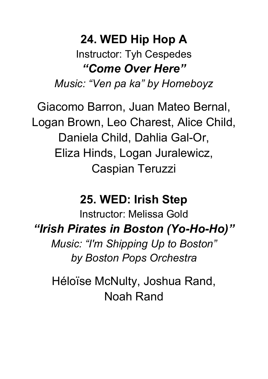## **24. WED Hip Hop A** Instructor: Tyh Cespedes *"Come Over Here"*

*Music: "Ven pa ka" by Homeboyz*

Giacomo Barron, Juan Mateo Bernal, Logan Brown, Leo Charest, Alice Child, Daniela Child, Dahlia Gal-Or, Eliza Hinds, Logan Juralewicz, Caspian Teruzzi

#### **25. WED: Irish Step**

Instructor: Melissa Gold *"Irish Pirates in Boston (Yo-Ho-Ho)" Music: "I'm Shipping Up to Boston" by Boston Pops Orchestra*

Héloïse McNulty, Joshua Rand, Noah Rand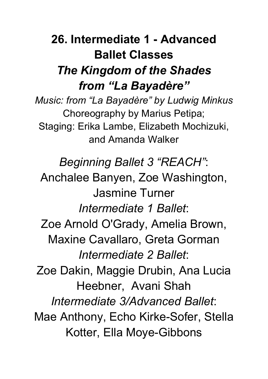# **26. Intermediate 1 - Advanced Ballet Classes** *The Kingdom of the Shades from "La Bayadère"*

*Music: from "La Bayadère" by Ludwig Minkus* Choreography by Marius Petipa; Staging: Erika Lambe, Elizabeth Mochizuki, and Amanda Walker

*Beginning Ballet 3 "REACH"*:

Anchalee Banyen, Zoe Washington, Jasmine Turner *Intermediate 1 Ballet*: Zoe Arnold O'Grady, Amelia Brown, Maxine Cavallaro, Greta Gorman *Intermediate 2 Ballet*: Zoe Dakin, Maggie Drubin, Ana Lucia Heebner, Avani Shah *Intermediate 3/Advanced Ballet*: Mae Anthony, Echo Kirke-Sofer, Stella

Kotter, Ella Moye-Gibbons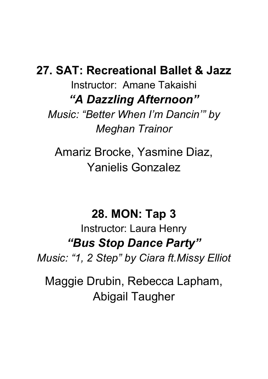#### **27. SAT: Recreational Ballet & Jazz**

Instructor: Amane Takaishi *"A Dazzling Afternoon"*

*Music: "Better When I'm Dancin'" by Meghan Trainor*

Amariz Brocke, Yasmine Diaz, Yanielis Gonzalez

#### **28. MON: Tap 3**

Instructor: Laura Henry *"Bus Stop Dance Party"*

*Music: "1, 2 Step" by Ciara ft.Missy Elliot*

Maggie Drubin, Rebecca Lapham, Abigail Taugher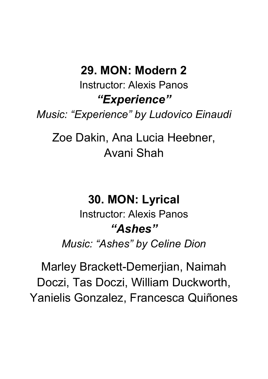### **29. MON: Modern 2**

Instructor: Alexis Panos *"Experience"*

*Music: "Experience" by Ludovico Einaudi*

Zoe Dakin, Ana Lucia Heebner, Avani Shah

#### **30. MON: Lyrical**

Instructor: Alexis Panos *"Ashes" Music: "Ashes" by Celine Dion*

Marley Brackett-Demerjian, Naimah Doczi, Tas Doczi, William Duckworth, Yanielis Gonzalez, Francesca Quiñones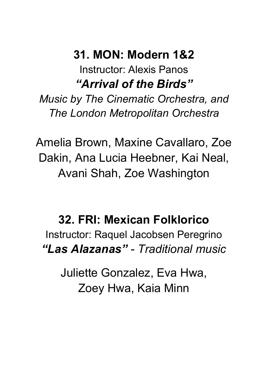#### **31. MON: Modern 1&2** Instructor: Alexis Panos

*"Arrival of the Birds"*

*Music by The Cinematic Orchestra, and The London Metropolitan Orchestra*

Amelia Brown, Maxine Cavallaro, Zoe Dakin, Ana Lucia Heebner, Kai Neal, Avani Shah, Zoe Washington

## **32. FRI: Mexican Folklorico**

Instructor: Raquel Jacobsen Peregrino *"Las Alazanas" - Traditional music*

Juliette Gonzalez, Eva Hwa, Zoey Hwa, Kaia Minn